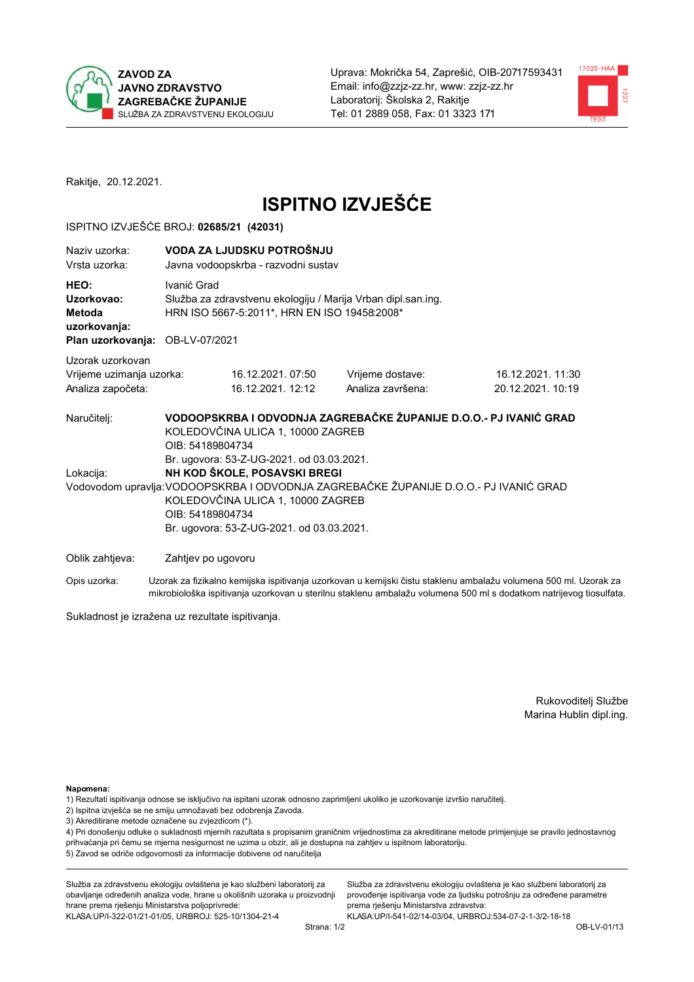



Rakitje, 20.12.2021.

# **ISPITNO IZVJEŠĆE**

#### ISPITNO IZVJEŠĆE BROJ: 02685/21 (42031)

| Naziv uzorka:<br>Vrsta uzorka:                                                  |                                                                                                                                                                                                                                                                          | VODA ZA LJUDSKU POTROŠNJU<br>Javna vodoopskrba - razvodni sustav                                             |                                                                   |                                       |  |  |
|---------------------------------------------------------------------------------|--------------------------------------------------------------------------------------------------------------------------------------------------------------------------------------------------------------------------------------------------------------------------|--------------------------------------------------------------------------------------------------------------|-------------------------------------------------------------------|---------------------------------------|--|--|
| HEO:<br>Uzorkovao:<br>Metoda<br>uzorkovanja:<br>Plan uzorkovanja: OB-LV-07/2021 | Ivanić Grad                                                                                                                                                                                                                                                              | Služba za zdravstvenu ekologiju / Marija Vrban dipl.san.ing.<br>HRN ISO 5667-5:2011*, HRN EN ISO 19458:2008* |                                                                   |                                       |  |  |
| Uzorak uzorkovan<br>Vrijeme uzimanja uzorka:<br>Analiza započeta:               |                                                                                                                                                                                                                                                                          | 16.12.2021.07:50<br>16.12.2021. 12:12                                                                        | Vrijeme dostave:<br>Analiza završena:                             | 16.12.2021.11:30<br>20.12.2021. 10:19 |  |  |
| Naručitelj:                                                                     | OIB: 54189804734                                                                                                                                                                                                                                                         | KOLEDOVČINA ULICA 1, 10000 ZAGREB                                                                            | VODOOPSKRBA I ODVODNJA ZAGREBAČKE ŽUPANIJE D.O.O.- PJ IVANIĆ GRAD |                                       |  |  |
| Lokacija:                                                                       | Br. ugovora: 53-Z-UG-2021. od 03.03.2021.<br>NH KOD ŠKOLE, POSAVSKI BREGI<br>Vodovodom upravlja: VODOOPSKRBA I ODVODNJA ZAGREBAČKE ŽUPANIJE D.O.O.- PJ IVANIĆ GRAD<br>KOLEDOVČINA ULICA 1, 10000 ZAGREB<br>OIB: 54189804734<br>Br. ugovora: 53-Z-UG-2021. od 03.03.2021. |                                                                                                              |                                                                   |                                       |  |  |
| Oblik zahtjeva:                                                                 | Zahtjev po ugovoru                                                                                                                                                                                                                                                       |                                                                                                              |                                                                   |                                       |  |  |

Opis uzorka: Uzorak za fizikalno kemijska ispitivanja uzorkovan u kemijski čistu staklenu ambalažu volumena 500 ml. Uzorak za mikrobiološka ispitivanja uzorkovan u sterilnu staklenu ambalažu volumena 500 ml s dodatkom natrijevog tiosulfata.

Sukladnost je izražena uz rezultate ispitivanja.

Rukovoditelj Službe Marina Hublin dipl.ing.

Napomena:

- 1) Rezultati ispitivanja odnose se isključivo na ispitani uzorak odnosno zaprimljeni ukoliko je uzorkovanje izvršio naručitelj.
- 2) Ispitna izvješća se ne smiju umnožavati bez odobrenja Zavoda.
- 3) Akreditirane metode označene su zvjezdicom (\*).

4) Pri donošenju odluke o sukladnosti mjernih razultata s propisanim graničnim vrijednostima za akreditirane metode primjenjuje se pravilo jednostavnog prihvaćanja pri čemu se mjerna nesigurnost ne uzima u obzir, ali je dostupna na zahtjev u ispitnom laboratoriju. 5) Zavod se odriče odgovornosti za informacije dobivene od naručitelja

Služba za zdravstvenu ekologiju ovlaštena je kao službeni laboratorij za obavljanje određenih analiza vode, hrane u okolišnih uzoraka u proizvodnji hrane prema rješenju Ministarstva poljoprivrede: KLASA: UP/I-322-01/21-01/05, URBROJ: 525-10/1304-21-4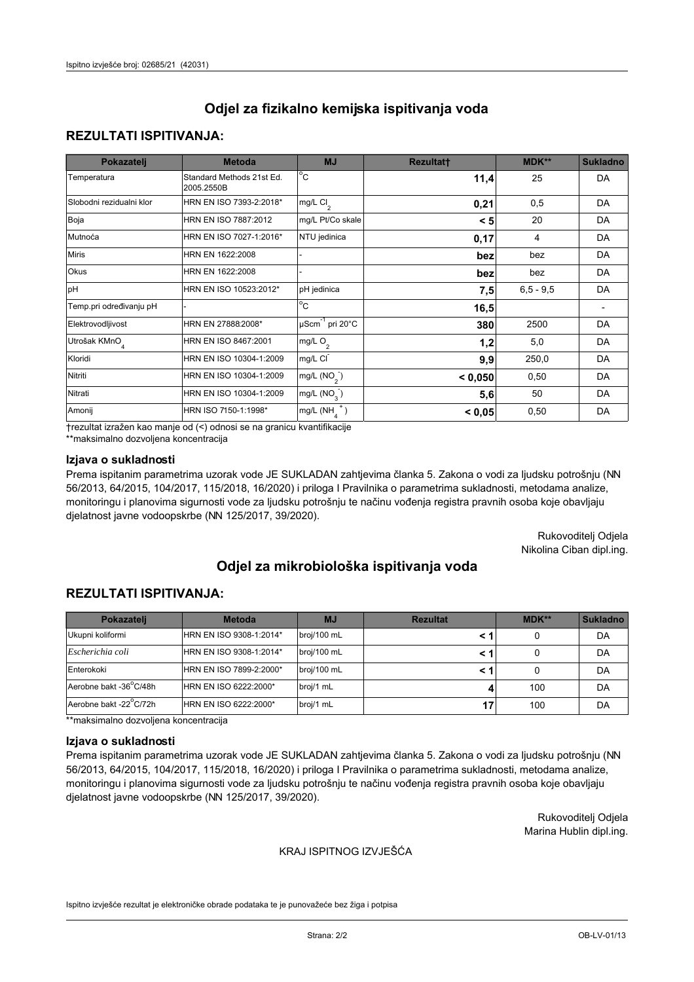## **REZULTATI ISPITIVANJA:**

| Pokazatelj                | <b>Metoda</b>                           | <b>MJ</b>                        | <b>Rezultatt</b> | MDK**       | <b>Sukladno</b> |
|---------------------------|-----------------------------------------|----------------------------------|------------------|-------------|-----------------|
| Temperatura               | Standard Methods 21st Ed.<br>2005.2550B | $^{\circ}$ C                     | 11,4             | 25          | DA              |
| Slobodni rezidualni klor  | HRN EN ISO 7393-2:2018*                 | mg/L $Cl2$                       | 0,21             | 0,5         | DA              |
| Boja                      | HRN EN ISO 7887:2012                    | mg/L Pt/Co skale                 | < 5              | 20          | DA              |
| Mutnoća                   | HRN EN ISO 7027-1:2016*                 | NTU jedinica                     | 0,17             | 4           | DA              |
| <b>Miris</b>              | HRN EN 1622:2008                        |                                  | bez              | bez         | DA              |
| Okus                      | HRN EN 1622:2008                        |                                  | bez              | bez         | DA              |
| pH                        | HRN EN ISO 10523:2012*                  | pH jedinica                      | 7,5              | $6,5 - 9,5$ | DA              |
| Temp.pri određivanju pH   |                                         | $\overline{c}$                   | 16,5             |             |                 |
| Elektrovodljivost         | HRN EN 27888:2008*                      | $\mu$ Scm <sup>-1</sup> pri 20°C | 380              | 2500        | DA              |
| Utrošak KMnO <sub>4</sub> | HRN EN ISO 8467:2001                    | mg/L O <sub>2</sub>              | 1,2              | 5,0         | DA              |
| Kloridi                   | HRN EN ISO 10304-1:2009                 | mg/L CI                          | 9,9              | 250,0       | DA              |
| Nitriti                   | HRN EN ISO 10304-1:2009                 | mg/L $(NO2)$                     | < 0,050          | 0,50        | DA              |
| Nitrati                   | HRN EN ISO 10304-1:2009                 | mg/L (NO <sub>3</sub> )          | 5,6              | 50          | DA              |
| Amonij                    | HRN ISO 7150-1:1998*                    | $mg/L(NH_A^+)$                   | < 0,05           | 0,50        | DA              |

trezultat izražen kao manje od (<) odnosi se na granicu kvantifikacije

\*\*maksimalno dozvoljena koncentracija

### Izjava o sukladnosti

Prema ispitanim parametrima uzorak vode JE SUKLADAN zahtjevima članka 5. Zakona o vodi za ljudsku potrošnju (NN 56/2013, 64/2015, 104/2017, 115/2018, 16/2020) i priloga I Pravilnika o parametrima sukladnosti, metodama analize, monitoringu i planovima sigurnosti vode za ljudsku potrošnju te načinu vođenja registra pravnih osoba koje obavljaju djelatnost javne vodoopskrbe (NN 125/2017, 39/2020).

> Rukovoditelj Odjela Nikolina Ciban dipl.ing.

# Odjel za mikrobiološka ispitivanja voda

## **REZULTATI ISPITIVANJA:**

| Pokazateli             | <b>Metoda</b>           | <b>MJ</b>   | <b>Rezultat</b> | MDK** | <b>Sukladno</b> |
|------------------------|-------------------------|-------------|-----------------|-------|-----------------|
| Ukupni koliformi       | HRN EN ISO 9308-1:2014* | broj/100 mL |                 |       | DA              |
| Escherichia coli       | HRN EN ISO 9308-1:2014* | broj/100 mL |                 |       | DA              |
| Enterokoki             | HRN EN ISO 7899-2:2000* | broj/100 mL |                 |       | DA              |
| Aerobne bakt -36°C/48h | HRN EN ISO 6222:2000*   | broj/1 mL   |                 | 100   | DA              |
| Aerobne bakt -22°C/72h | HRN EN ISO 6222:2000*   | broj/1 mL   | 17              | 100   | DA              |

\*\*maksimalno dozvoljena koncentracija

#### Izjava o sukladnosti

Prema ispitanim parametrima uzorak vode JE SUKLADAN zahtjevima članka 5. Zakona o vodi za ljudsku potrošnju (NN 56/2013, 64/2015, 104/2017, 115/2018, 16/2020) i priloga I Pravilnika o parametrima sukladnosti, metodama analize, monitoringu i planovima sigurnosti vode za ljudsku potrošnju te načinu vođenja registra pravnih osoba koje obavljaju djelatnost javne vodoopskrbe (NN 125/2017, 39/2020).

> Rukovoditelj Odjela Marina Hublin dipl.ing.

#### KRAJ ISPITNOG IZVJEŠĆA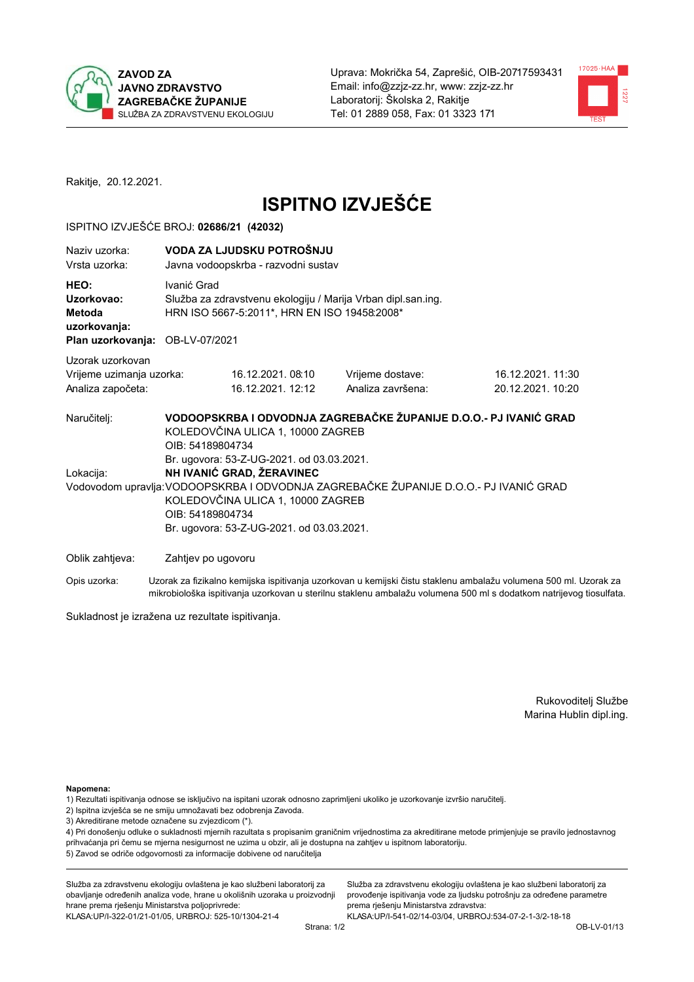



Rakitje, 20.12.2021.

# **ISPITNO IZVJEŠĆE**

#### ISPITNO IZVJEŠĆE BROJ: 02686/21 (42032)

| Naziv uzorka:<br>Vrsta uzorka:                                                  | VODA ZA LJUDSKU POTROŠNJU<br>Javna vodoopskrba - razvodni sustav                                                                                                                                                                      |                                                                                                                                                            |                                                                                                                  |  |  |  |
|---------------------------------------------------------------------------------|---------------------------------------------------------------------------------------------------------------------------------------------------------------------------------------------------------------------------------------|------------------------------------------------------------------------------------------------------------------------------------------------------------|------------------------------------------------------------------------------------------------------------------|--|--|--|
| HEO:<br>Uzorkovao:<br>Metoda<br>uzorkovanja:<br>Plan uzorkovanja: OB-LV-07/2021 | Ivanić Grad<br>Služba za zdravstvenu ekologiju / Marija Vrban dipl.san.ing.<br>HRN ISO 5667-5:2011*, HRN EN ISO 19458:2008*                                                                                                           |                                                                                                                                                            |                                                                                                                  |  |  |  |
| Uzorak uzorkovan<br>Vrijeme uzimanja uzorka:<br>Analiza započeta:               | 16.12.2021.08:10<br>16.12.2021. 12:12                                                                                                                                                                                                 | Vrijeme dostave:<br>Analiza završena:                                                                                                                      | 16.12.2021. 11:30<br>20.12.2021. 10:20                                                                           |  |  |  |
| Naručitelj:<br>Lokacija:                                                        | KOLEDOVČINA ULICA 1, 10000 ZAGREB<br>OIB: 54189804734<br>Br. ugovora: 53-Z-UG-2021. od 03.03.2021.<br>NH IVANIĆ GRAD, ŽERAVINEC<br>KOLEDOVČINA ULICA 1, 10000 ZAGREB<br>OIB: 54189804734<br>Br. ugovora: 53-Z-UG-2021. od 03.03.2021. | VODOOPSKRBA I ODVODNJA ZAGREBAČKE ŽUPANIJE D.O.O.- PJ IVANIĆ GRAD<br>Vodovodom upravlja: VODOOPSKRBA I ODVODNJA ZAGREBAČKE ŽUPANIJE D.O.O.- PJ IVANIĆ GRAD |                                                                                                                  |  |  |  |
| Oblik zahtjeva:                                                                 | Zahtjev po ugovoru                                                                                                                                                                                                                    |                                                                                                                                                            |                                                                                                                  |  |  |  |
| Opis uzorka:                                                                    |                                                                                                                                                                                                                                       |                                                                                                                                                            | Uzorak za fizikalno kemijska ispitivanja uzorkovan u kemijski čistu staklenu ambalažu volumena 500 ml. Uzorak za |  |  |  |

Sukladnost je izražena uz rezultate ispitivanja.

Rukovoditelj Službe Marina Hublin dipl.ing.

Napomena:

- 1) Rezultati ispitivanja odnose se isključivo na ispitani uzorak odnosno zaprimljeni ukoliko je uzorkovanje izvršio naručitelj.
- 2) Ispitna izvješća se ne smiju umnožavati bez odobrenja Zavoda.
- 3) Akreditirane metode označene su zvjezdicom (\*).

4) Pri donošenju odluke o sukladnosti mjernih razultata s propisanim graničnim vrijednostima za akreditirane metode primjenjuje se pravilo jednostavnog prihvaćanja pri čemu se mjerna nesigurnost ne uzima u obzir, ali je dostupna na zahtjev u ispitnom laboratoriju. 5) Zavod se odriče odgovornosti za informacije dobivene od naručitelja

mikrobiološka ispitivanja uzorkovan u sterilnu staklenu ambalažu volumena 500 ml s dodatkom natrijevog tiosulfata.

Služba za zdravstvenu ekologiju ovlaštena je kao službeni laboratorij za obavljanje određenih analiza vode, hrane u okolišnih uzoraka u proizvodnji hrane prema rješenju Ministarstva poljoprivrede: KLASA: UP/I-322-01/21-01/05, URBROJ: 525-10/1304-21-4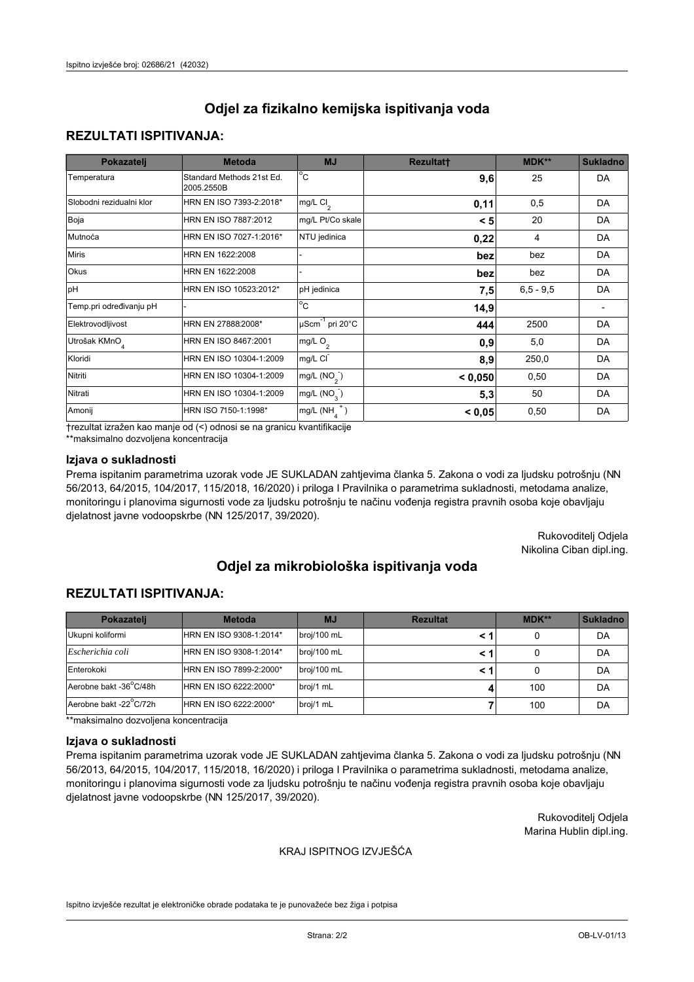## **REZULTATI ISPITIVANJA:**

| Pokazatelj                | <b>Metoda</b>                           | <b>MJ</b>                                | <b>Rezultatt</b> | <b>MDK**</b> | <b>Sukladno</b> |
|---------------------------|-----------------------------------------|------------------------------------------|------------------|--------------|-----------------|
| Temperatura               | Standard Methods 21st Ed.<br>2005.2550B | $^{\circ}$ C                             | 9,6              | 25           | DA              |
| Slobodni rezidualni klor  | HRN EN ISO 7393-2:2018*                 | $\overline{\text{mg/L}}$ Cl <sub>2</sub> | 0,11             | 0,5          | DA              |
| Boja                      | HRN EN ISO 7887:2012                    | mg/L Pt/Co skale                         | < 5              | 20           | DA              |
| Mutnoća                   | HRN EN ISO 7027-1:2016*                 | NTU jedinica                             | 0,22             | 4            | DA              |
| <b>Miris</b>              | HRN EN 1622:2008                        |                                          | bez              | bez          | DA              |
| Okus                      | HRN EN 1622:2008                        |                                          | bez              | bez          | DA              |
| pH                        | HRN EN ISO 10523:2012*                  | pH jedinica                              | 7,5              | $6.5 - 9.5$  | DA              |
| Temp.pri određivanju pH   |                                         | $\overline{c}$                           | 14,9             |              |                 |
| Elektrovodljivost         | HRN EN 27888:2008*                      | $\mu$ Scm <sup>-1</sup> pri 20°C         | 444              | 2500         | DA              |
| Utrošak KMnO <sub>4</sub> | HRN EN ISO 8467:2001                    | mg/L $O_2$                               | 0.9              | 5,0          | DA              |
| Kloridi                   | HRN EN ISO 10304-1:2009                 | mg/L CI                                  | 8,9              | 250,0        | DA              |
| Nitriti                   | HRN EN ISO 10304-1:2009                 | mg/L $(NO2)$                             | < 0.050          | 0,50         | DA              |
| Nitrati                   | HRN EN ISO 10304-1:2009                 | mg/L (NO <sub>3</sub> )                  | 5,3              | 50           | DA              |
| Amonij                    | HRN ISO 7150-1:1998*                    | mg/L $(NH_{\lambda}^{\dagger})$          | < 0,05           | 0,50         | DA              |

trezultat izražen kao manje od (<) odnosi se na granicu kvantifikacije

\*\*maksimalno dozvoljena koncentracija

### Izjava o sukladnosti

Prema ispitanim parametrima uzorak vode JE SUKLADAN zahtjevima članka 5. Zakona o vodi za ljudsku potrošnju (NN 56/2013, 64/2015, 104/2017, 115/2018, 16/2020) i priloga I Pravilnika o parametrima sukladnosti, metodama analize, monitoringu i planovima sigurnosti vode za ljudsku potrošnju te načinu vođenja registra pravnih osoba koje obavljaju djelatnost javne vodoopskrbe (NN 125/2017, 39/2020).

> Rukovoditelj Odjela Nikolina Ciban dipl.ing.

# Odjel za mikrobiološka ispitivanja voda

## **REZULTATI ISPITIVANJA:**

| Pokazatelj             | <b>Metoda</b>           | <b>MJ</b>   | <b>Rezultat</b> | $MDK**$ | <b>Sukladno</b> |
|------------------------|-------------------------|-------------|-----------------|---------|-----------------|
| Ukupni koliformi       | HRN EN ISO 9308-1:2014* | broj/100 mL |                 |         | DA              |
| Escherichia coli       | HRN EN ISO 9308-1:2014* | broj/100 mL |                 |         | DA              |
| Enterokoki             | HRN EN ISO 7899-2:2000* | broj/100 mL |                 |         | DA              |
| Aerobne bakt -36°C/48h | HRN EN ISO 6222:2000*   | broj/1 mL   |                 | 100     | DA              |
| Aerobne bakt -22°C/72h | HRN EN ISO 6222:2000*   | broj/1 mL   |                 | 100     | DA              |

\*\*maksimalno dozvoljena koncentracija

#### Izjava o sukladnosti

Prema ispitanim parametrima uzorak vode JE SUKLADAN zahtjevima članka 5. Zakona o vodi za ljudsku potrošnju (NN 56/2013, 64/2015, 104/2017, 115/2018, 16/2020) i priloga I Pravilnika o parametrima sukladnosti, metodama analize, monitoringu i planovima sigurnosti vode za ljudsku potrošnju te načinu vođenja registra pravnih osoba koje obavljaju djelatnost javne vodoopskrbe (NN 125/2017, 39/2020).

> Rukovoditelj Odjela Marina Hublin dipl.ing.

#### KRAJ ISPITNOG IZVJEŠĆA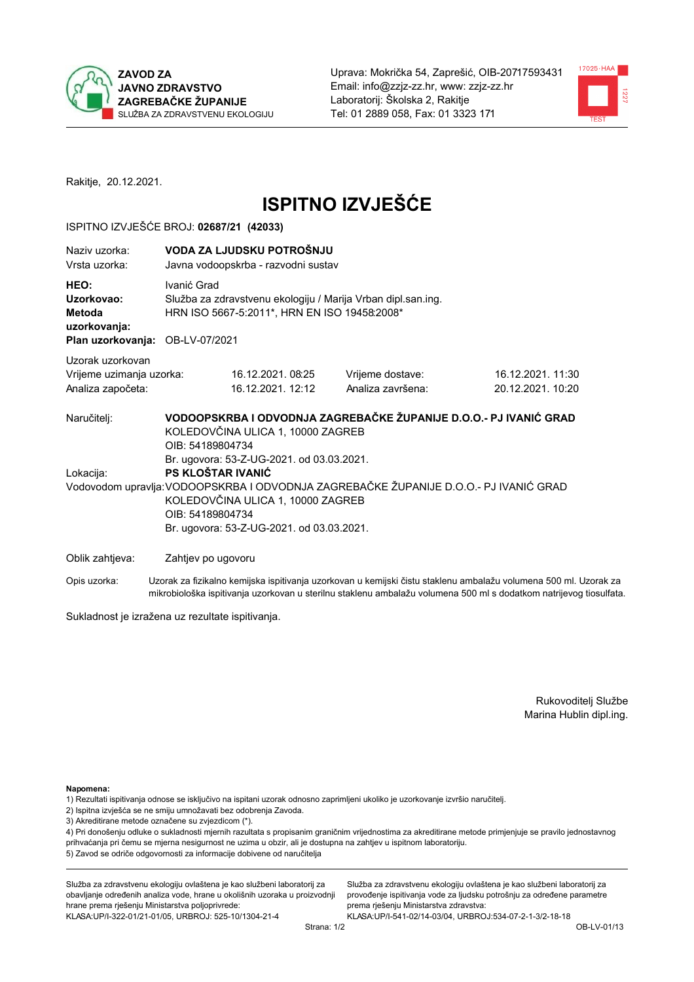



Rakitje, 20.12.2021.

# **ISPITNO IZVJEŠĆE**

#### ISPITNO IZVJEŠĆE BROJ: 02687/21 (42033)

| Naziv uzorka:<br>Vrsta uzorka:                                                  | VODA ZA LJUDSKU POTROŠNJU<br>Javna vodoopskrba - razvodni sustav                                                                                                                                                              |                                                                                                                                                            |                                                                                                                  |  |  |  |
|---------------------------------------------------------------------------------|-------------------------------------------------------------------------------------------------------------------------------------------------------------------------------------------------------------------------------|------------------------------------------------------------------------------------------------------------------------------------------------------------|------------------------------------------------------------------------------------------------------------------|--|--|--|
| HEO:<br>Uzorkovao:<br>Metoda<br>uzorkovanja:<br>Plan uzorkovanja: OB-LV-07/2021 | Ivanić Grad<br>Služba za zdravstvenu ekologiju / Marija Vrban dipl.san.ing.<br>HRN ISO 5667-5:2011*, HRN EN ISO 19458:2008*                                                                                                   |                                                                                                                                                            |                                                                                                                  |  |  |  |
| Uzorak uzorkovan<br>Vrijeme uzimanja uzorka:<br>Analiza započeta:               | 16.12.2021.08:25<br>16.12.2021. 12:12                                                                                                                                                                                         | Vrijeme dostave:<br>Analiza završena:                                                                                                                      | 16.12.2021.11:30<br>20.12.2021. 10:20                                                                            |  |  |  |
| Naručitelj:<br>Lokacija:                                                        | KOLEDOVČINA ULICA 1, 10000 ZAGREB<br>OIB: 54189804734<br>Br. ugovora: 53-Z-UG-2021. od 03.03.2021.<br>PS KLOŠTAR IVANIĆ<br>KOLEDOVČINA ULICA 1, 10000 ZAGREB<br>OIB: 54189804734<br>Br. ugovora: 53-Z-UG-2021. od 03.03.2021. | VODOOPSKRBA I ODVODNJA ZAGREBAČKE ŽUPANIJE D.O.O.- PJ IVANIĆ GRAD<br>Vodovodom upravlja: VODOOPSKRBA I ODVODNJA ZAGREBAČKE ŽUPANIJE D.O.O.- PJ IVANIĆ GRAD |                                                                                                                  |  |  |  |
| Oblik zahtjeva:                                                                 | Zahtjev po ugovoru                                                                                                                                                                                                            |                                                                                                                                                            |                                                                                                                  |  |  |  |
| Opis uzorka:                                                                    |                                                                                                                                                                                                                               |                                                                                                                                                            | Uzorak za fizikalno kemijska ispitivanja uzorkovan u kemijski čistu staklenu ambalažu volumena 500 ml. Uzorak za |  |  |  |

Sukladnost je izražena uz rezultate ispitivanja.

Rukovoditelj Službe Marina Hublin dipl.ing.

Napomena:

- 1) Rezultati ispitivanja odnose se isključivo na ispitani uzorak odnosno zaprimljeni ukoliko je uzorkovanje izvršio naručitelj.
- 2) Ispitna izvješća se ne smiju umnožavati bez odobrenja Zavoda.
- 3) Akreditirane metode označene su zvjezdicom (\*).

4) Pri donošenju odluke o sukladnosti mjernih razultata s propisanim graničnim vrijednostima za akreditirane metode primjenjuje se pravilo jednostavnog prihvaćanja pri čemu se mjerna nesigurnost ne uzima u obzir, ali je dostupna na zahtjev u ispitnom laboratoriju. 5) Zavod se odriče odgovornosti za informacije dobivene od naručitelja

mikrobiološka ispitivanja uzorkovan u sterilnu staklenu ambalažu volumena 500 ml s dodatkom natrijevog tiosulfata.

Služba za zdravstvenu ekologiju ovlaštena je kao službeni laboratorij za obavljanje određenih analiza vode, hrane u okolišnih uzoraka u proizvodnji hrane prema rješenju Ministarstva poljoprivrede: KLASA: UP/I-322-01/21-01/05, URBROJ: 525-10/1304-21-4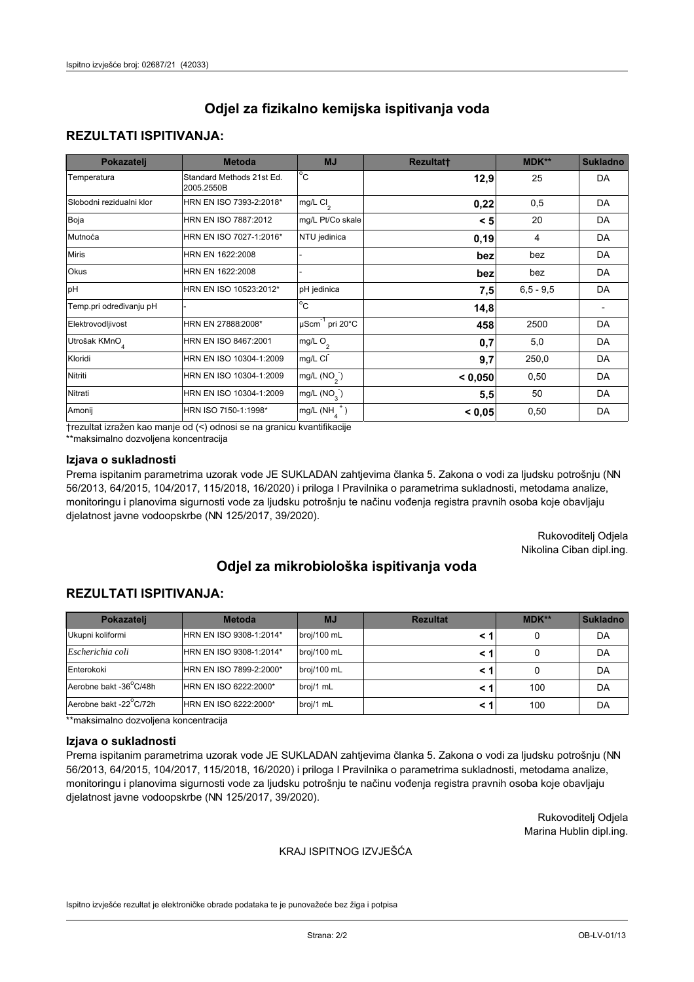## **REZULTATI ISPITIVANJA:**

| Pokazatelj                | <b>Metoda</b>                           | <b>MJ</b>                        | <b>Rezultatt</b> | MDK**       | <b>Sukladno</b> |
|---------------------------|-----------------------------------------|----------------------------------|------------------|-------------|-----------------|
| Temperatura               | Standard Methods 21st Ed.<br>2005.2550B | $^{\circ}$ C                     | 12,9             | 25          | DA              |
| Slobodni rezidualni klor  | HRN EN ISO 7393-2:2018*                 | mg/L $Cl2$                       | 0,22             | 0,5         | DA              |
| Boja                      | HRN EN ISO 7887:2012                    | mg/L Pt/Co skale                 | < 5              | 20          | DA              |
| Mutnoća                   | HRN EN ISO 7027-1:2016*                 | NTU jedinica                     | 0, 19            | 4           | DA              |
| <b>Miris</b>              | HRN EN 1622:2008                        |                                  | bez              | bez         | DA              |
| Okus                      | HRN EN 1622:2008                        |                                  | bez              | bez         | DA              |
| pH                        | HRN EN ISO 10523:2012*                  | pH jedinica                      | 7,5              | $6,5 - 9,5$ | DA              |
| Temp.pri određivanju pH   |                                         | $\overline{c}$                   | 14,8             |             |                 |
| Elektrovodljivost         | HRN EN 27888:2008*                      | $\mu$ Scm <sup>-1</sup> pri 20°C | 458              | 2500        | DA              |
| Utrošak KMnO <sub>4</sub> | HRN EN ISO 8467:2001                    | mg/L O <sub>2</sub>              | 0,7              | 5,0         | DA              |
| Kloridi                   | HRN EN ISO 10304-1:2009                 | mg/L CI                          | 9,7              | 250,0       | DA              |
| Nitriti                   | HRN EN ISO 10304-1:2009                 | mg/L $(NO2)$                     | < 0,050          | 0,50        | DA              |
| Nitrati                   | HRN EN ISO 10304-1:2009                 | mg/L (NO <sub>3</sub> )          | 5,5              | 50          | DA              |
| Amonij                    | HRN ISO 7150-1:1998*                    | $mg/L(NH_A^+)$                   | < 0,05           | 0,50        | DA              |

trezultat izražen kao manje od (<) odnosi se na granicu kvantifikacije

\*\*maksimalno dozvoljena koncentracija

### Izjava o sukladnosti

Prema ispitanim parametrima uzorak vode JE SUKLADAN zahtjevima članka 5. Zakona o vodi za ljudsku potrošnju (NN 56/2013, 64/2015, 104/2017, 115/2018, 16/2020) i priloga I Pravilnika o parametrima sukladnosti, metodama analize, monitoringu i planovima sigurnosti vode za ljudsku potrošnju te načinu vođenja registra pravnih osoba koje obavljaju djelatnost javne vodoopskrbe (NN 125/2017, 39/2020).

> Rukovoditelj Odjela Nikolina Ciban dipl.ing.

# Odjel za mikrobiološka ispitivanja voda

## **REZULTATI ISPITIVANJA:**

| Pokazatelj             | <b>Metoda</b>           | <b>MJ</b>   | <b>Rezultat</b> | MDK** | <b>Sukladno</b> |
|------------------------|-------------------------|-------------|-----------------|-------|-----------------|
| Ukupni koliformi       | HRN EN ISO 9308-1:2014* | broj/100 mL |                 |       | DA              |
| Escherichia coli       | HRN EN ISO 9308-1:2014* | broj/100 mL |                 |       | DA              |
| Enterokoki             | HRN EN ISO 7899-2:2000* | broj/100 mL |                 |       | DA              |
| Aerobne bakt -36°C/48h | HRN EN ISO 6222:2000*   | broj/1 mL   |                 | 100   | DA              |
| Aerobne bakt -22°C/72h | HRN EN ISO 6222:2000*   | broj/1 mL   |                 | 100   | DA              |

\*\*maksimalno dozvoljena koncentracija

#### Izjava o sukladnosti

Prema ispitanim parametrima uzorak vode JE SUKLADAN zahtjevima članka 5. Zakona o vodi za ljudsku potrošnju (NN 56/2013, 64/2015, 104/2017, 115/2018, 16/2020) i priloga I Pravilnika o parametrima sukladnosti, metodama analize, monitoringu i planovima sigurnosti vode za ljudsku potrošnju te načinu vođenja registra pravnih osoba koje obavljaju djelatnost javne vodoopskrbe (NN 125/2017, 39/2020).

> Rukovoditelj Odjela Marina Hublin dipl.ing.

#### KRAJ ISPITNOG IZVJEŠĆA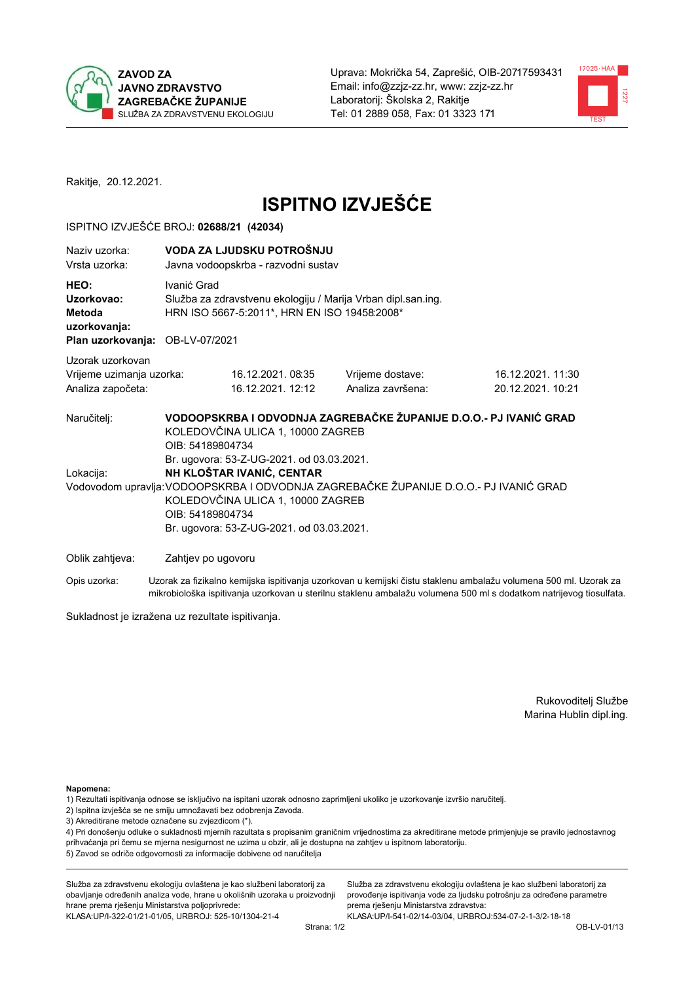



Rakitje, 20.12.2021.

# **ISPITNO IZVJEŠĆE**

#### ISPITNO IZVJEŠĆE BROJ: 02688/21 (42034)

| Naziv uzorka:<br>Vrsta uzorka:                                                  | VODA ZA LJUDSKU POTROŠNJU<br>Javna vodoopskrba - razvodni sustav                                                                                                                                                                      |                                                                                                                                                            |                                                                                                                  |  |  |  |
|---------------------------------------------------------------------------------|---------------------------------------------------------------------------------------------------------------------------------------------------------------------------------------------------------------------------------------|------------------------------------------------------------------------------------------------------------------------------------------------------------|------------------------------------------------------------------------------------------------------------------|--|--|--|
| HEO:<br>Uzorkovao:<br>Metoda<br>uzorkovanja:<br>Plan uzorkovanja: OB-LV-07/2021 | Ivanić Grad<br>Služba za zdravstvenu ekologiju / Marija Vrban dipl.san.ing.<br>HRN ISO 5667-5:2011*, HRN EN ISO 19458:2008*                                                                                                           |                                                                                                                                                            |                                                                                                                  |  |  |  |
| Uzorak uzorkovan<br>Vrijeme uzimanja uzorka:<br>Analiza započeta:               | 16.12.2021.08:35<br>16.12.2021. 12:12                                                                                                                                                                                                 | Vrijeme dostave:<br>Analiza završena:                                                                                                                      | 16.12.2021. 11:30<br>20.12.2021. 10:21                                                                           |  |  |  |
| Naručitelj:<br>Lokacija:                                                        | KOLEDOVČINA ULICA 1, 10000 ZAGREB<br>OIB: 54189804734<br>Br. ugovora: 53-Z-UG-2021. od 03.03.2021.<br>NH KLOŠTAR IVANIĆ, CENTAR<br>KOLEDOVČINA ULICA 1, 10000 ZAGREB<br>OIB: 54189804734<br>Br. ugovora: 53-Z-UG-2021. od 03.03.2021. | VODOOPSKRBA I ODVODNJA ZAGREBAČKE ŽUPANIJE D.O.O.- PJ IVANIĆ GRAD<br>Vodovodom upravlja: VODOOPSKRBA I ODVODNJA ZAGREBAČKE ŽUPANIJE D.O.O.- PJ IVANIĆ GRAD |                                                                                                                  |  |  |  |
| Oblik zahtjeva:                                                                 | Zahtjev po ugovoru                                                                                                                                                                                                                    |                                                                                                                                                            |                                                                                                                  |  |  |  |
| Opis uzorka:                                                                    |                                                                                                                                                                                                                                       |                                                                                                                                                            | Uzorak za fizikalno kemijska ispitivanja uzorkovan u kemijski čistu staklenu ambalažu volumena 500 ml. Uzorak za |  |  |  |

Sukladnost je izražena uz rezultate ispitivanja.

Rukovoditelj Službe Marina Hublin dipl.ing.

Napomena:

- 1) Rezultati ispitivanja odnose se isključivo na ispitani uzorak odnosno zaprimljeni ukoliko je uzorkovanje izvršio naručitelj.
- 2) Ispitna izvješća se ne smiju umnožavati bez odobrenja Zavoda.
- 3) Akreditirane metode označene su zvjezdicom (\*).

4) Pri donošenju odluke o sukladnosti mjernih razultata s propisanim graničnim vrijednostima za akreditirane metode primjenjuje se pravilo jednostavnog prihvaćanja pri čemu se mjerna nesigurnost ne uzima u obzir, ali je dostupna na zahtjev u ispitnom laboratoriju. 5) Zavod se odriče odgovornosti za informacije dobivene od naručitelja

mikrobiološka ispitivanja uzorkovan u sterilnu staklenu ambalažu volumena 500 ml s dodatkom natrijevog tiosulfata.

Služba za zdravstvenu ekologiju ovlaštena je kao službeni laboratorij za obavljanje određenih analiza vode, hrane u okolišnih uzoraka u proizvodnji hrane prema rješenju Ministarstva poljoprivrede: KLASA: UP/I-322-01/21-01/05, URBROJ: 525-10/1304-21-4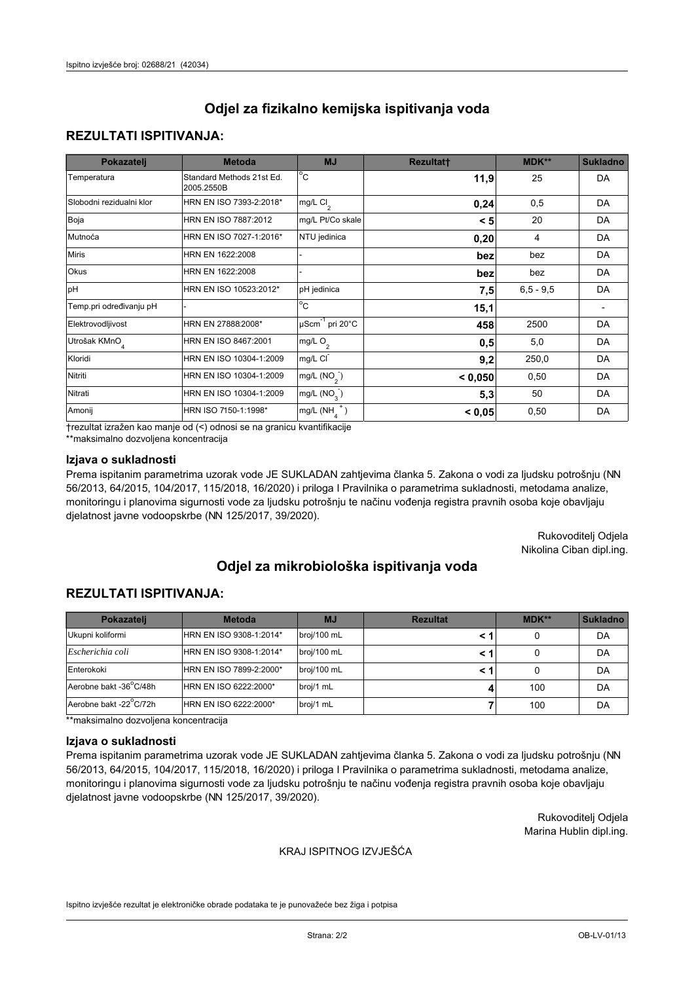## **REZULTATI ISPITIVANJA:**

| Pokazatelj                | <b>Metoda</b>                           | <b>MJ</b>                                | <b>Rezultatt</b> | <b>MDK**</b> | <b>Sukladno</b> |
|---------------------------|-----------------------------------------|------------------------------------------|------------------|--------------|-----------------|
| Temperatura               | Standard Methods 21st Ed.<br>2005.2550B | $\overline{C}$                           | 11,9             | 25           | DA              |
| Slobodni rezidualni klor  | HRN EN ISO 7393-2:2018*                 | $\overline{\text{mg/L}}$ Cl <sub>2</sub> | 0,24             | 0,5          | DA              |
| Boja                      | HRN EN ISO 7887:2012                    | mg/L Pt/Co skale                         | < 5              | 20           | DA              |
| Mutnoća                   | HRN EN ISO 7027-1:2016*                 | NTU jedinica                             | 0,20             | 4            | DA              |
| <b>Miris</b>              | HRN EN 1622:2008                        |                                          | bez              | bez          | DA              |
| Okus                      | HRN EN 1622:2008                        |                                          | bez              | bez          | DA              |
| pH                        | HRN EN ISO 10523:2012*                  | pH jedinica                              | 7,5              | $6.5 - 9.5$  | DA              |
| Temp.pri određivanju pH   |                                         | $\overline{c}$                           | 15,1             |              |                 |
| Elektrovodljivost         | HRN EN 27888:2008*                      | $\mu$ Scm <sup>-1</sup> pri 20°C         | 458              | 2500         | DA              |
| Utrošak KMnO <sub>4</sub> | HRN EN ISO 8467:2001                    | mg/L $O_2$                               | 0,5              | 5,0          | DA              |
| Kloridi                   | HRN EN ISO 10304-1:2009                 | mg/L CI                                  | 9,2              | 250,0        | DA              |
| Nitriti                   | HRN EN ISO 10304-1:2009                 | mg/L $(NO2)$                             | < 0,050          | 0,50         | DA              |
| Nitrati                   | HRN EN ISO 10304-1:2009                 | mg/L (NO <sub>3</sub> )                  | 5,3              | 50           | DA              |
| Amonij                    | HRN ISO 7150-1:1998*                    | mg/L $(NH_{\lambda}^{\dagger})$          | < 0,05           | 0,50         | DA              |

trezultat izražen kao manje od (<) odnosi se na granicu kvantifikacije

\*\*maksimalno dozvoljena koncentracija

### Izjava o sukladnosti

Prema ispitanim parametrima uzorak vode JE SUKLADAN zahtjevima članka 5. Zakona o vodi za ljudsku potrošnju (NN 56/2013, 64/2015, 104/2017, 115/2018, 16/2020) i priloga I Pravilnika o parametrima sukladnosti, metodama analize, monitoringu i planovima sigurnosti vode za ljudsku potrošnju te načinu vođenja registra pravnih osoba koje obavljaju djelatnost javne vodoopskrbe (NN 125/2017, 39/2020).

> Rukovoditelj Odjela Nikolina Ciban dipl.ing.

# Odjel za mikrobiološka ispitivanja voda

## **REZULTATI ISPITIVANJA:**

| Pokazatelj             | <b>Metoda</b>           | <b>MJ</b>   | <b>Rezultat</b> | MDK** | <b>Sukladno</b> |
|------------------------|-------------------------|-------------|-----------------|-------|-----------------|
| Ukupni koliformi       | HRN EN ISO 9308-1:2014* | broj/100 mL |                 |       | DA              |
| Escherichia coli       | HRN EN ISO 9308-1:2014* | broj/100 mL |                 |       | DA              |
| Enterokoki             | HRN EN ISO 7899-2:2000* | broj/100 mL |                 |       | DA              |
| Aerobne bakt -36°C/48h | HRN EN ISO 6222:2000*   | broj/1 mL   |                 | 100   | DA              |
| Aerobne bakt -22°C/72h | HRN EN ISO 6222:2000*   | broj/1 mL   |                 | 100   | DA              |

\*\*maksimalno dozvoljena koncentracija

#### Izjava o sukladnosti

Prema ispitanim parametrima uzorak vode JE SUKLADAN zahtjevima članka 5. Zakona o vodi za ljudsku potrošnju (NN 56/2013, 64/2015, 104/2017, 115/2018, 16/2020) i priloga I Pravilnika o parametrima sukladnosti, metodama analize, monitoringu i planovima sigurnosti vode za ljudsku potrošnju te načinu vođenja registra pravnih osoba koje obavljaju djelatnost javne vodoopskrbe (NN 125/2017, 39/2020).

> Rukovoditelj Odjela Marina Hublin dipl.ing.

#### KRAJ ISPITNOG IZVJEŠĆA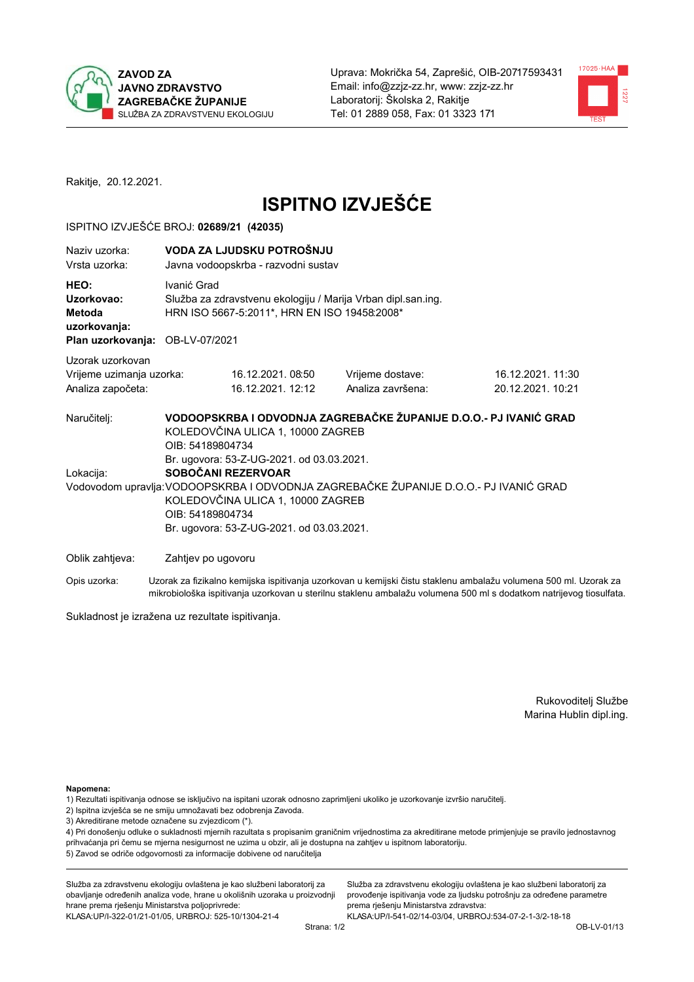



Rakitje, 20.12.2021.

# **ISPITNO IZVJEŠĆE**

#### ISPITNO IZVJEŠĆE BROJ: 02689/21 (42035)

| Naziv uzorka:<br>Vrsta uzorka:                                    |                                                                                                                             | VODA ZA LJUDSKU POTROŠNJU<br>Javna vodoopskrba - razvodni sustav                                                                                                                                                                                                                                                                                                                             |                                       |                                                                                                                  |  |  |  |  |
|-------------------------------------------------------------------|-----------------------------------------------------------------------------------------------------------------------------|----------------------------------------------------------------------------------------------------------------------------------------------------------------------------------------------------------------------------------------------------------------------------------------------------------------------------------------------------------------------------------------------|---------------------------------------|------------------------------------------------------------------------------------------------------------------|--|--|--|--|
| HEO:<br>Uzorkovao:<br>Metoda<br>uzorkovanja:                      | Ivanić Grad<br>Služba za zdravstvenu ekologiju / Marija Vrban dipl.san.ing.<br>HRN ISO 5667-5:2011*, HRN EN ISO 19458:2008* |                                                                                                                                                                                                                                                                                                                                                                                              |                                       |                                                                                                                  |  |  |  |  |
|                                                                   |                                                                                                                             | Plan uzorkovanja: OB-LV-07/2021                                                                                                                                                                                                                                                                                                                                                              |                                       |                                                                                                                  |  |  |  |  |
| Uzorak uzorkovan<br>Vrijeme uzimanja uzorka:<br>Analiza započeta: |                                                                                                                             | 16.12.2021.08:50<br>16.12.2021. 12:12                                                                                                                                                                                                                                                                                                                                                        | Vrijeme dostave:<br>Analiza završena: | 16.12.2021.11:30<br>20.12.2021. 10:21                                                                            |  |  |  |  |
| Naručitelj:<br>Lokacija:                                          |                                                                                                                             | VODOOPSKRBA I ODVODNJA ZAGREBAČKE ŽUPANIJE D.O.O.- PJ IVANIĆ GRAD<br>KOLEDOVČINA ULICA 1, 10000 ZAGREB<br>OIB: 54189804734<br>Br. ugovora: 53-Z-UG-2021. od 03.03.2021.<br>SOBOČANI REZERVOAR<br>Vodovodom upravlja: VODOOPSKRBA I ODVODNJA ZAGREBAČKE ŽUPANIJE D.O.O.- PJ IVANIĆ GRAD<br>KOLEDOVČINA ULICA 1, 10000 ZAGREB<br>OIB: 54189804734<br>Br. ugovora: 53-Z-UG-2021. od 03.03.2021. |                                       |                                                                                                                  |  |  |  |  |
| Oblik zahtjeva:                                                   |                                                                                                                             | Zahtjev po ugovoru                                                                                                                                                                                                                                                                                                                                                                           |                                       |                                                                                                                  |  |  |  |  |
| Opis uzorka:                                                      |                                                                                                                             |                                                                                                                                                                                                                                                                                                                                                                                              |                                       | Uzorak za fizikalno kemijska ispitivanja uzorkovan u kemijski čistu staklenu ambalažu volumena 500 ml. Uzorak za |  |  |  |  |

mikrobiološka ispitivanja uzorkovan u sterilnu staklenu ambalažu volumena 500 ml s dodatkom natrijevog tiosulfata.

Sukladnost je izražena uz rezultate ispitivanja.

Rukovoditelj Službe Marina Hublin dipl.ing.

Napomena:

- 1) Rezultati ispitivanja odnose se isključivo na ispitani uzorak odnosno zaprimljeni ukoliko je uzorkovanje izvršio naručitelj.
- 2) Ispitna izvješća se ne smiju umnožavati bez odobrenja Zavoda.
- 3) Akreditirane metode označene su zvjezdicom (\*).

4) Pri donošenju odluke o sukladnosti mjernih razultata s propisanim graničnim vrijednostima za akreditirane metode primjenjuje se pravilo jednostavnog prihvaćanja pri čemu se mjerna nesigurnost ne uzima u obzir, ali je dostupna na zahtjev u ispitnom laboratoriju. 5) Zavod se odriče odgovornosti za informacije dobivene od naručitelja

Služba za zdravstvenu ekologiju ovlaštena je kao službeni laboratorij za obavljanje određenih analiza vode, hrane u okolišnih uzoraka u proizvodnji hrane prema rješenju Ministarstva poljoprivrede: KLASA: UP/I-322-01/21-01/05, URBROJ: 525-10/1304-21-4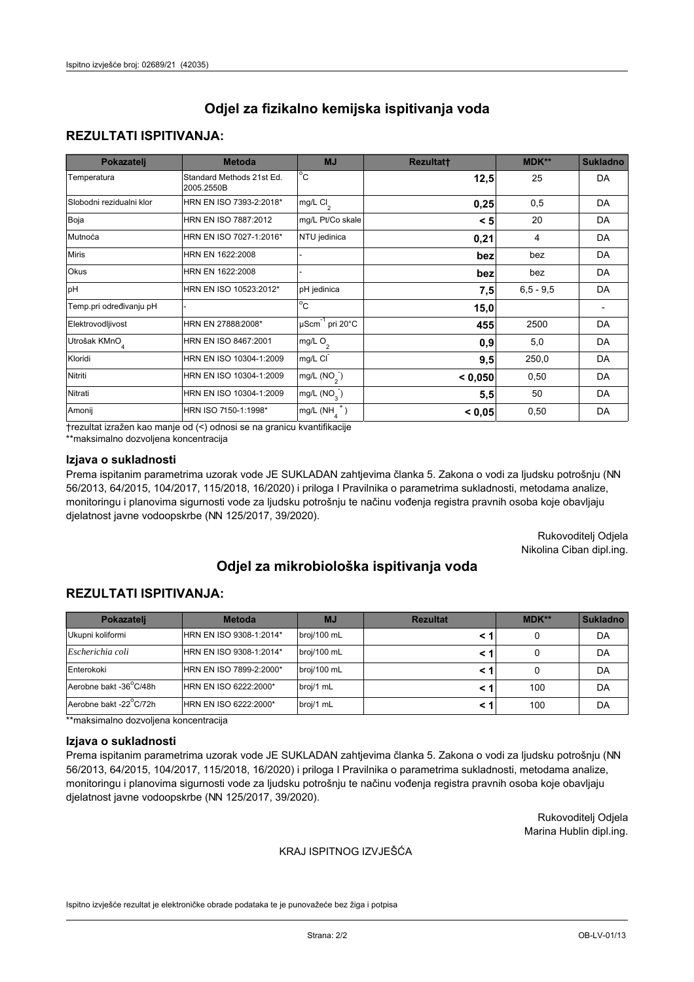## **REZULTATI ISPITIVANJA:**

| Pokazatelj                | <b>Metoda</b>                           | <b>MJ</b>                   | <b>Rezultatt</b> | <b>MDK**</b> | <b>Sukladno</b> |
|---------------------------|-----------------------------------------|-----------------------------|------------------|--------------|-----------------|
| Temperatura               | Standard Methods 21st Ed.<br>2005.2550B | $^{\circ}$ C                | 12,5             | 25           | DA              |
| Slobodni rezidualni klor  | HRN EN ISO 7393-2:2018*                 | mg/L $Cl_2$                 | 0,25             | 0,5          | DA              |
| Boja                      | HRN EN ISO 7887:2012                    | mg/L Pt/Co skale            | < 5              | 20           | DA              |
| Mutnoća                   | HRN EN ISO 7027-1:2016*                 | NTU jedinica                | 0,21             | 4            | DA              |
| <b>Miris</b>              | HRN EN 1622:2008                        |                             | bez              | bez          | DA              |
| Okus                      | HRN EN 1622:2008                        |                             | bez              | bez          | DA              |
| pH                        | HRN EN ISO 10523:2012*                  | pH jedinica                 | 7,5              | $6.5 - 9.5$  | DA              |
| Temp.pri određivanju pH   |                                         | $\overline{c}$              | 15,0             |              |                 |
| Elektrovodljivost         | HRN EN 27888:2008*                      | µScm <sup>-1</sup> pri 20°C | 455              | 2500         | DA              |
| Utrošak KMnO <sub>4</sub> | HRN EN ISO 8467:2001                    | mg/L O <sub>2</sub>         | 0.9              | 5,0          | DA              |
| Kloridi                   | HRN EN ISO 10304-1:2009                 | mg/L CI                     | 9,5              | 250,0        | DA              |
| Nitriti                   | HRN EN ISO 10304-1:2009                 | mg/L (NO <sub>2</sub> )     | < 0,050          | 0,50         | DA              |
| Nitrati                   | HRN EN ISO 10304-1:2009                 | mg/L $(NO_3^-)$             | 5,5              | 50           | DA              |
| Amonij                    | HRN ISO 7150-1:1998*                    | mg/L $(NH_A^+)$             | < 0,05           | 0,50         | DA              |

trezultat izražen kao manje od (<) odnosi se na granicu kvantifikacije

\*\*maksimalno dozvoljena koncentracija

### Izjava o sukladnosti

Prema ispitanim parametrima uzorak vode JE SUKLADAN zahtjevima članka 5. Zakona o vodi za ljudsku potrošnju (NN 56/2013, 64/2015, 104/2017, 115/2018, 16/2020) i priloga I Pravilnika o parametrima sukladnosti, metodama analize, monitoringu i planovima sigurnosti vode za ljudsku potrošnju te načinu vođenja registra pravnih osoba koje obavljaju djelatnost javne vodoopskrbe (NN 125/2017, 39/2020).

> Rukovoditelj Odjela Nikolina Ciban dipl.ing.

# Odjel za mikrobiološka ispitivanja voda

## **REZULTATI ISPITIVANJA:**

| Pokazateli             | <b>Metoda</b>           | <b>MJ</b>   | <b>Rezultat</b> | MDK** | <b>Sukladno</b> |
|------------------------|-------------------------|-------------|-----------------|-------|-----------------|
| Ukupni koliformi       | HRN EN ISO 9308-1:2014* | broj/100 mL |                 |       | DA              |
| Escherichia coli       | HRN EN ISO 9308-1:2014* | broj/100 mL |                 |       | DA              |
| Enterokoki             | HRN EN ISO 7899-2:2000* | broj/100 mL |                 |       | DA              |
| Aerobne bakt -36°C/48h | HRN EN ISO 6222:2000*   | broj/1 mL   |                 | 100   | DA              |
| Aerobne bakt -22°C/72h | HRN EN ISO 6222:2000*   | broj/1 mL   |                 | 100   | DA              |

\*\*maksimalno dozvoljena koncentracija

#### Izjava o sukladnosti

Prema ispitanim parametrima uzorak vode JE SUKLADAN zahtjevima članka 5. Zakona o vodi za ljudsku potrošnju (NN 56/2013, 64/2015, 104/2017, 115/2018, 16/2020) i priloga I Pravilnika o parametrima sukladnosti, metodama analize, monitoringu i planovima sigurnosti vode za ljudsku potrošnju te načinu vođenja registra pravnih osoba koje obavljaju djelatnost javne vodoopskrbe (NN 125/2017, 39/2020).

> Rukovoditelj Odjela Marina Hublin dipl.ing.

#### KRAJ ISPITNOG IZVJEŠĆA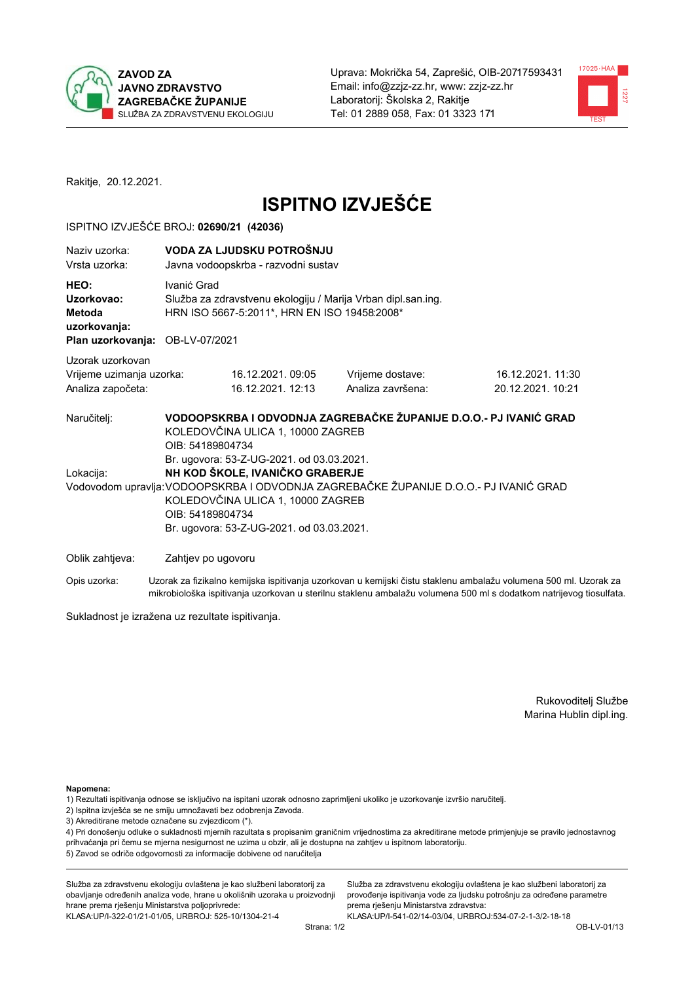



Rakitje, 20.12.2021.

# **ISPITNO IZVJEŠĆE**

#### ISPITNO IZVJEŠĆE BROJ: 02690/21 (42036)

| Naziv uzorka:<br>Vrsta uzorka:                                                  |                    | VODA ZA LJUDSKU POTROŠNJU<br>Javna vodoopskrba - razvodni sustav                                                  |                                                                                       |                                       |  |  |
|---------------------------------------------------------------------------------|--------------------|-------------------------------------------------------------------------------------------------------------------|---------------------------------------------------------------------------------------|---------------------------------------|--|--|
| HEO:<br>Uzorkovao:<br>Metoda<br>uzorkovanja:<br>Plan uzorkovanja: OB-LV-07/2021 | Ivanić Grad        | Služba za zdravstvenu ekologiju / Marija Vrban dipl.san.ing.<br>HRN ISO 5667-5:2011*, HRN EN ISO 19458:2008*      |                                                                                       |                                       |  |  |
| Uzorak uzorkovan<br>Vrijeme uzimanja uzorka:<br>Analiza započeta:               |                    | 16.12.2021.09:05<br>16.12.2021. 12:13                                                                             | Vrijeme dostave:<br>Analiza završena:                                                 | 16.12.2021.11:30<br>20.12.2021. 10:21 |  |  |
| Naručitelj:<br>Lokacija:                                                        | OIB: 54189804734   | KOLEDOVČINA ULICA 1, 10000 ZAGREB<br>Br. ugovora: 53-Z-UG-2021. od 03.03.2021.<br>NH KOD ŠKOLE, IVANIČKO GRABERJE | VODOOPSKRBA I ODVODNJA ZAGREBAČKE ŽUPANIJE D.O.O.- PJ IVANIĆ GRAD                     |                                       |  |  |
|                                                                                 | OIB: 54189804734   | KOLEDOVČINA ULICA 1, 10000 ZAGREB<br>Br. ugovora: 53-Z-UG-2021. od 03.03.2021.                                    | Vodovodom upravlja: VODOOPSKRBA I ODVODNJA ZAGREBAČKE ŽUPANIJE D.O.O.- PJ IVANIĆ GRAD |                                       |  |  |
| Oblik zahtjeva:                                                                 | Zahtjev po ugovoru |                                                                                                                   |                                                                                       |                                       |  |  |

Opis uzorka: Uzorak za fizikalno kemijska ispitivanja uzorkovan u kemijski čistu staklenu ambalažu volumena 500 ml. Uzorak za mikrobiološka ispitivanja uzorkovan u sterilnu staklenu ambalažu volumena 500 ml s dodatkom natrijevog tiosulfata.

Sukladnost je izražena uz rezultate ispitivanja.

Rukovoditelj Službe Marina Hublin dipl.ing.

Napomena:

- 1) Rezultati ispitivanja odnose se isključivo na ispitani uzorak odnosno zaprimljeni ukoliko je uzorkovanje izvršio naručitelj.
- 2) Ispitna izvješća se ne smiju umnožavati bez odobrenja Zavoda.
- 3) Akreditirane metode označene su zvjezdicom (\*).

4) Pri donošenju odluke o sukladnosti mjernih razultata s propisanim graničnim vrijednostima za akreditirane metode primjenjuje se pravilo jednostavnog prihvaćanja pri čemu se mjerna nesigurnost ne uzima u obzir, ali je dostupna na zahtjev u ispitnom laboratoriju. 5) Zavod se odriče odgovornosti za informacije dobivene od naručitelja

Služba za zdravstvenu ekologiju ovlaštena je kao službeni laboratorij za obavljanje određenih analiza vode, hrane u okolišnih uzoraka u proizvodnji hrane prema rješenju Ministarstva poljoprivrede: KLASA: UP/I-322-01/21-01/05, URBROJ: 525-10/1304-21-4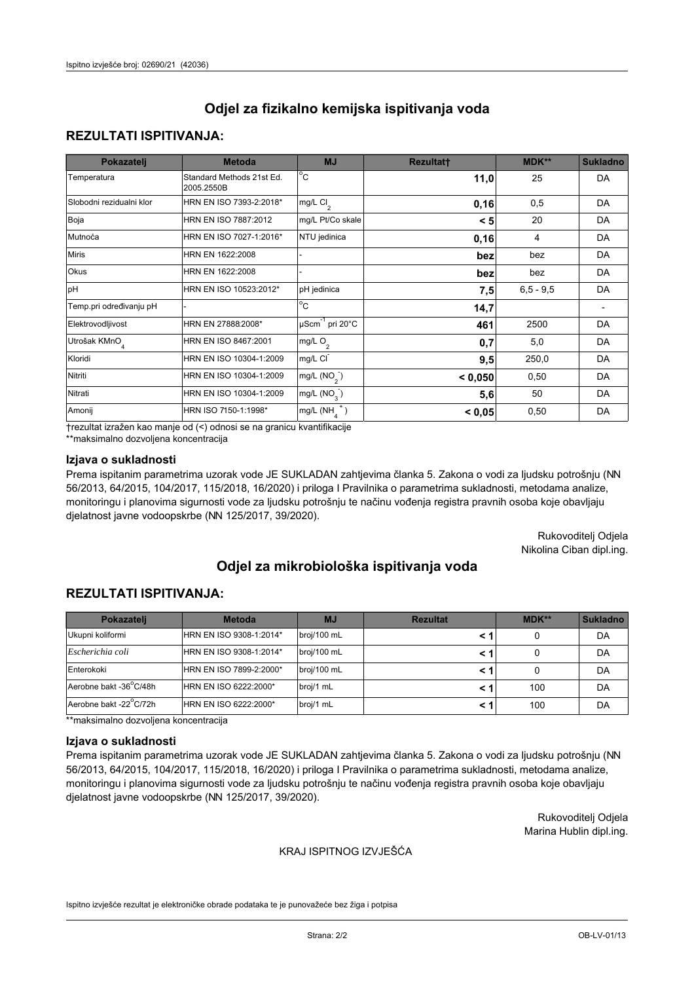## **REZULTATI ISPITIVANJA:**

| Pokazatelj                | <b>Metoda</b>                           | <b>MJ</b>                                | <b>Rezultatt</b> | <b>MDK**</b> | <b>Sukladno</b> |
|---------------------------|-----------------------------------------|------------------------------------------|------------------|--------------|-----------------|
| Temperatura               | Standard Methods 21st Ed.<br>2005.2550B | $^{\circ}$ C                             | 11,0             | 25           | DA              |
| Slobodni rezidualni klor  | HRN EN ISO 7393-2:2018*                 | $\overline{\text{mg/L}}$ Cl <sub>2</sub> | 0, 16            | 0,5          | DA              |
| Boja                      | HRN EN ISO 7887:2012                    | mg/L Pt/Co skale                         | < 5              | 20           | DA              |
| Mutnoća                   | HRN EN ISO 7027-1:2016*                 | NTU jedinica                             | 0, 16            | 4            | DA              |
| <b>Miris</b>              | HRN EN 1622:2008                        |                                          | bez              | bez          | DA              |
| Okus                      | HRN EN 1622:2008                        |                                          | bez              | bez          | DA              |
| pH                        | HRN EN ISO 10523:2012*                  | pH jedinica                              | 7,5              | $6.5 - 9.5$  | DA              |
| Temp.pri određivanju pH   |                                         | $\overline{c}$                           | 14,7             |              |                 |
| Elektrovodljivost         | HRN EN 27888:2008*                      | $\mu$ Scm <sup>-1</sup> pri 20°C         | 461              | 2500         | DA              |
| Utrošak KMnO <sub>4</sub> | HRN EN ISO 8467:2001                    | mg/L $O_2$                               | 0,7              | 5,0          | DA              |
| Kloridi                   | HRN EN ISO 10304-1:2009                 | mg/L CI                                  | 9,5              | 250,0        | DA              |
| Nitriti                   | HRN EN ISO 10304-1:2009                 | mg/L $(NO2)$                             | < 0,050          | 0,50         | DA              |
| Nitrati                   | HRN EN ISO 10304-1:2009                 | mg/L (NO <sub>3</sub> )                  | 5,6              | 50           | DA              |
| Amonij                    | HRN ISO 7150-1:1998*                    | mg/L $(NH_{\lambda}^{\dagger})$          | < 0,05           | 0,50         | DA              |

trezultat izražen kao manje od (<) odnosi se na granicu kvantifikacije

\*\*maksimalno dozvoljena koncentracija

### Izjava o sukladnosti

Prema ispitanim parametrima uzorak vode JE SUKLADAN zahtjevima članka 5. Zakona o vodi za ljudsku potrošnju (NN 56/2013, 64/2015, 104/2017, 115/2018, 16/2020) i priloga I Pravilnika o parametrima sukladnosti, metodama analize, monitoringu i planovima sigurnosti vode za ljudsku potrošnju te načinu vođenja registra pravnih osoba koje obavljaju djelatnost javne vodoopskrbe (NN 125/2017, 39/2020).

> Rukovoditelj Odjela Nikolina Ciban dipl.ing.

# Odjel za mikrobiološka ispitivanja voda

## **REZULTATI ISPITIVANJA:**

| Pokazatelj             | <b>Metoda</b>           | <b>MJ</b>   | <b>Rezultat</b> | $MDK**$ | <b>Sukladno</b> |
|------------------------|-------------------------|-------------|-----------------|---------|-----------------|
| Ukupni koliformi       | HRN EN ISO 9308-1:2014* | broj/100 mL |                 |         | DA              |
| Escherichia coli       | HRN EN ISO 9308-1:2014* | broj/100 mL |                 |         | DA              |
| Enterokoki             | HRN EN ISO 7899-2:2000* | broj/100 mL |                 |         | DA              |
| Aerobne bakt -36°C/48h | HRN EN ISO 6222:2000*   | broj/1 mL   |                 | 100     | DA              |
| Aerobne bakt -22°C/72h | HRN EN ISO 6222:2000*   | broj/1 mL   |                 | 100     | DA              |

\*\*maksimalno dozvoljena koncentracija

#### Izjava o sukladnosti

Prema ispitanim parametrima uzorak vode JE SUKLADAN zahtjevima članka 5. Zakona o vodi za ljudsku potrošnju (NN 56/2013, 64/2015, 104/2017, 115/2018, 16/2020) i priloga I Pravilnika o parametrima sukladnosti, metodama analize, monitoringu i planovima sigurnosti vode za ljudsku potrošnju te načinu vođenja registra pravnih osoba koje obavljaju djelatnost javne vodoopskrbe (NN 125/2017, 39/2020).

> Rukovoditelj Odjela Marina Hublin dipl.ing.

#### KRAJ ISPITNOG IZVJEŠĆA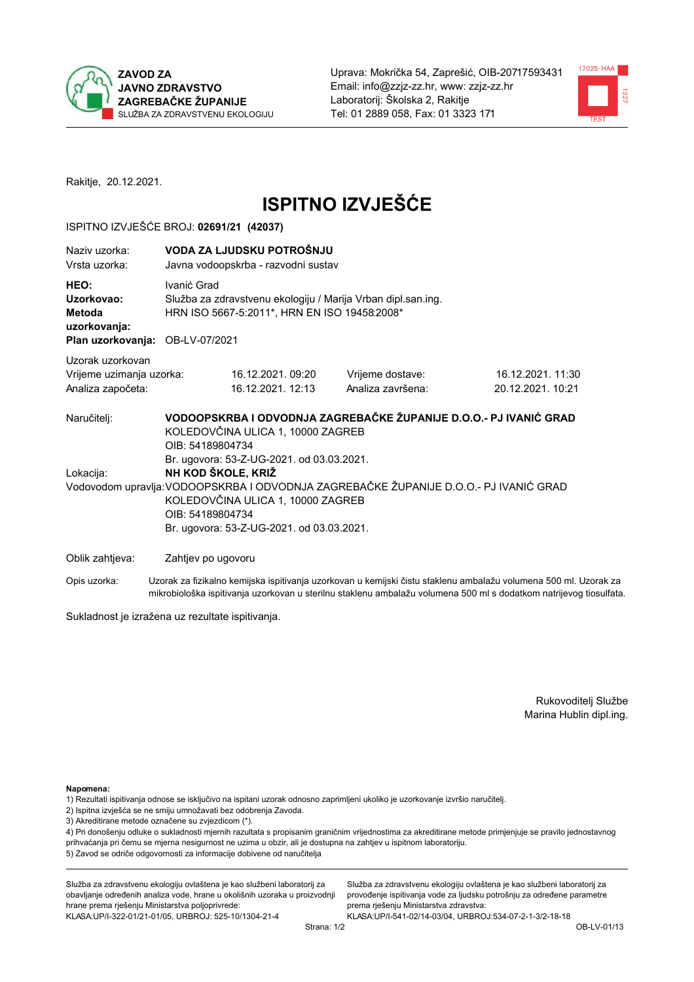



Rakitje, 20.12.2021.

# **ISPITNO IZVJEŠĆE**

#### ISPITNO IZVJEŠĆE BROJ: 02691/21 (42037)

| Naziv uzorka:<br>Vrsta uzorka:                                                  |                                        | VODA ZA LJUDSKU POTROŠNJU<br>Javna vodoopskrba - razvodni sustav                                             |                                                                                                                                                            |                                       |  |  |  |
|---------------------------------------------------------------------------------|----------------------------------------|--------------------------------------------------------------------------------------------------------------|------------------------------------------------------------------------------------------------------------------------------------------------------------|---------------------------------------|--|--|--|
| HEO:<br>Uzorkovao:<br>Metoda<br>uzorkovanja:<br>Plan uzorkovanja: OB-LV-07/2021 | Ivanić Grad                            | Služba za zdravstvenu ekologiju / Marija Vrban dipl.san.ing.<br>HRN ISO 5667-5:2011*, HRN EN ISO 19458:2008* |                                                                                                                                                            |                                       |  |  |  |
| Uzorak uzorkovan<br>Vrijeme uzimanja uzorka:<br>Analiza započeta:               |                                        | 16.12.2021.09:20<br>16.12.2021. 12:13                                                                        | Vrijeme dostave:<br>Analiza završena:                                                                                                                      | 16.12.2021.11:30<br>20.12.2021. 10:21 |  |  |  |
| Naručitelj:<br>Lokacija:                                                        | OIB: 54189804734<br>NH KOD ŠKOLE, KRIŽ | KOLEDOVČINA ULICA 1, 10000 ZAGREB<br>Br. ugovora: 53-Z-UG-2021. od 03.03.2021.                               | VODOOPSKRBA I ODVODNJA ZAGREBAČKE ŽUPANIJE D.O.O.- PJ IVANIĆ GRAD<br>Vodovodom upravlja: VODOOPSKRBA I ODVODNJA ZAGREBAČKE ŽUPANIJE D.O.O.- PJ IVANIĆ GRAD |                                       |  |  |  |
|                                                                                 | OIB: 54189804734                       | KOLEDOVČINA ULICA 1, 10000 ZAGREB<br>Br. ugovora: 53-Z-UG-2021. od 03.03.2021.                               |                                                                                                                                                            |                                       |  |  |  |
| Oblik zahtjeva:                                                                 | Zahtjev po ugovoru                     |                                                                                                              |                                                                                                                                                            |                                       |  |  |  |
| Onio usorko:                                                                    |                                        | t laesu za fizikolno komijoko inpitivanja uzarkovan u komijoki čiotu otoklonu omboložu volumono 500 ml. Ll-  |                                                                                                                                                            |                                       |  |  |  |

Uzorak za fizikalno kemijska ispitivanja uzorkovan u kemijski čistu staklenu ambalažu volumena 500 ml. Uzorak za Opis uzorka: mikrobiološka ispitivanja uzorkovan u sterilnu staklenu ambalažu volumena 500 ml s dodatkom natrijevog tiosulfata.

Sukladnost je izražena uz rezultate ispitivanja.

Rukovoditelj Službe Marina Hublin dipl.ing.

Napomena:

- 1) Rezultati ispitivanja odnose se isključivo na ispitani uzorak odnosno zaprimljeni ukoliko je uzorkovanje izvršio naručitelj.
- 2) Ispitna izvješća se ne smiju umnožavati bez odobrenja Zavoda.
- 3) Akreditirane metode označene su zvjezdicom (\*).

4) Pri donošenju odluke o sukladnosti mjernih razultata s propisanim graničnim vrijednostima za akreditirane metode primjenjuje se pravilo jednostavnog prihvaćanja pri čemu se mjerna nesigurnost ne uzima u obzir, ali je dostupna na zahtjev u ispitnom laboratoriju. 5) Zavod se odriče odgovornosti za informacije dobivene od naručitelja

Služba za zdravstvenu ekologiju ovlaštena je kao službeni laboratorij za obavljanje određenih analiza vode, hrane u okolišnih uzoraka u proizvodnji hrane prema rješenju Ministarstva poljoprivrede: KLASA: UP/I-322-01/21-01/05, URBROJ: 525-10/1304-21-4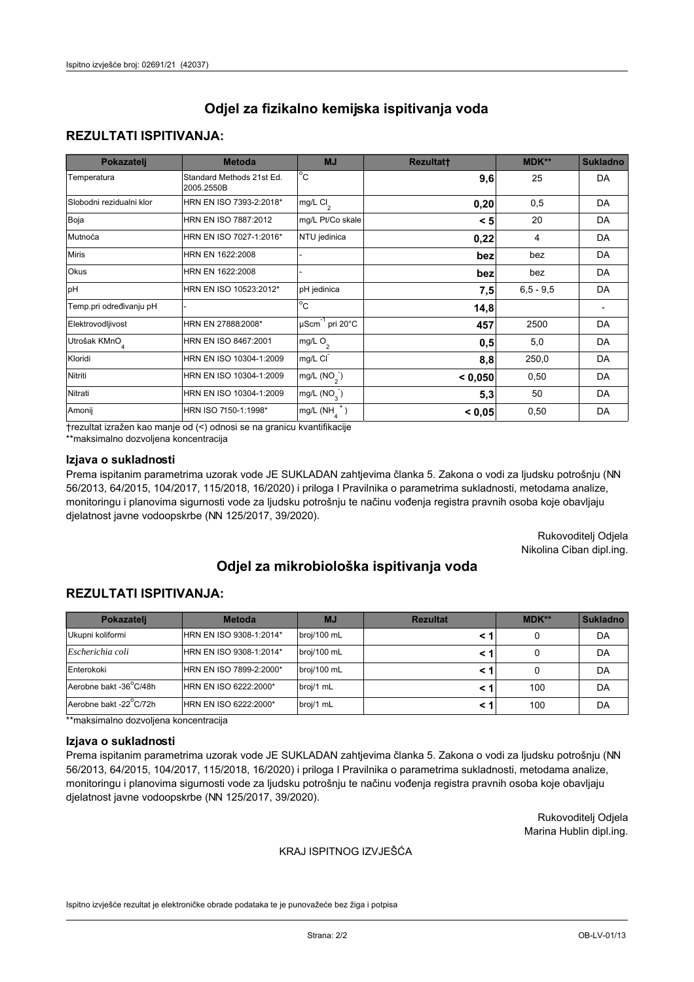## **REZULTATI ISPITIVANJA:**

| Pokazatelj                | <b>Metoda</b>                           | <b>MJ</b>                        | <b>Rezultatt</b> | MDK**       | <b>Sukladno</b> |
|---------------------------|-----------------------------------------|----------------------------------|------------------|-------------|-----------------|
| Temperatura               | Standard Methods 21st Ed.<br>2005.2550B | $\overline{^{\circ}C}$           | 9,6              | 25          | DA              |
| Slobodni rezidualni klor  | HRN EN ISO 7393-2:2018*                 | mg/L $Cl2$                       | 0,20             | 0,5         | DA              |
| Boja                      | HRN EN ISO 7887:2012                    | mg/L Pt/Co skale                 | < 5              | 20          | DA              |
| Mutnoća                   | HRN EN ISO 7027-1:2016*                 | NTU jedinica                     | 0,22             | 4           | DA              |
| <b>Miris</b>              | HRN EN 1622:2008                        |                                  | bez              | bez         | DA              |
| Okus                      | HRN EN 1622:2008                        |                                  | bez              | bez         | DA              |
| pH                        | HRN EN ISO 10523:2012*                  | pH jedinica                      | 7,5              | $6.5 - 9.5$ | DA              |
| Temp.pri određivanju pH   |                                         | $\rm ^{\circ}c$                  | 14,8             |             |                 |
| Elektrovodljivost         | HRN EN 27888:2008*                      | $\mu$ Scm <sup>-1</sup> pri 20°C | 457              | 2500        | DA              |
| Utrošak KMnO <sub>4</sub> | HRN EN ISO 8467:2001                    | mg/L O <sub>2</sub>              | 0,5              | 5,0         | DA              |
| Kloridi                   | HRN EN ISO 10304-1:2009                 | mg/L CI                          | 8,8              | 250,0       | DA              |
| Nitriti                   | HRN EN ISO 10304-1:2009                 | mg/L $(NO2)$                     | < 0.050          | 0,50        | DA              |
| Nitrati                   | HRN EN ISO 10304-1:2009                 | mg/L (NO <sub>3</sub> )          | 5,3              | 50          | DA              |
| Amonij                    | HRN ISO 7150-1:1998*                    | mg/L $(NH_{\lambda}^{\dagger})$  | < 0,05           | 0,50        | DA              |

trezultat izražen kao manje od (<) odnosi se na granicu kvantifikacije

\*\*maksimalno dozvoljena koncentracija

### Izjava o sukladnosti

Prema ispitanim parametrima uzorak vode JE SUKLADAN zahtjevima članka 5. Zakona o vodi za ljudsku potrošnju (NN 56/2013, 64/2015, 104/2017, 115/2018, 16/2020) i priloga I Pravilnika o parametrima sukladnosti, metodama analize, monitoringu i planovima sigurnosti vode za ljudsku potrošnju te načinu vođenja registra pravnih osoba koje obavljaju djelatnost javne vodoopskrbe (NN 125/2017, 39/2020).

> Rukovoditelj Odjela Nikolina Ciban dipl.ing.

# Odjel za mikrobiološka ispitivanja voda

## **REZULTATI ISPITIVANJA:**

| Pokazatelj             | <b>Metoda</b>           | <b>MJ</b>   | <b>Rezultat</b> | $MDK**$ | <b>Sukladno</b> |
|------------------------|-------------------------|-------------|-----------------|---------|-----------------|
| Ukupni koliformi       | HRN EN ISO 9308-1:2014* | broj/100 mL |                 |         | DA              |
| Escherichia coli       | HRN EN ISO 9308-1:2014* | broj/100 mL |                 |         | DA              |
| Enterokoki             | HRN EN ISO 7899-2:2000* | broj/100 mL |                 |         | DA              |
| Aerobne bakt -36°C/48h | HRN EN ISO 6222:2000*   | broj/1 mL   |                 | 100     | DA              |
| Aerobne bakt -22°C/72h | HRN EN ISO 6222:2000*   | broj/1 mL   |                 | 100     | DA              |

\*\*maksimalno dozvoljena koncentracija

#### Izjava o sukladnosti

Prema ispitanim parametrima uzorak vode JE SUKLADAN zahtjevima članka 5. Zakona o vodi za ljudsku potrošnju (NN 56/2013, 64/2015, 104/2017, 115/2018, 16/2020) i priloga I Pravilnika o parametrima sukladnosti, metodama analize, monitoringu i planovima sigurnosti vode za ljudsku potrošnju te načinu vođenja registra pravnih osoba koje obavljaju djelatnost javne vodoopskrbe (NN 125/2017, 39/2020).

> Rukovoditelj Odjela Marina Hublin dipl.ing.

#### KRAJ ISPITNOG IZVJEŠĆA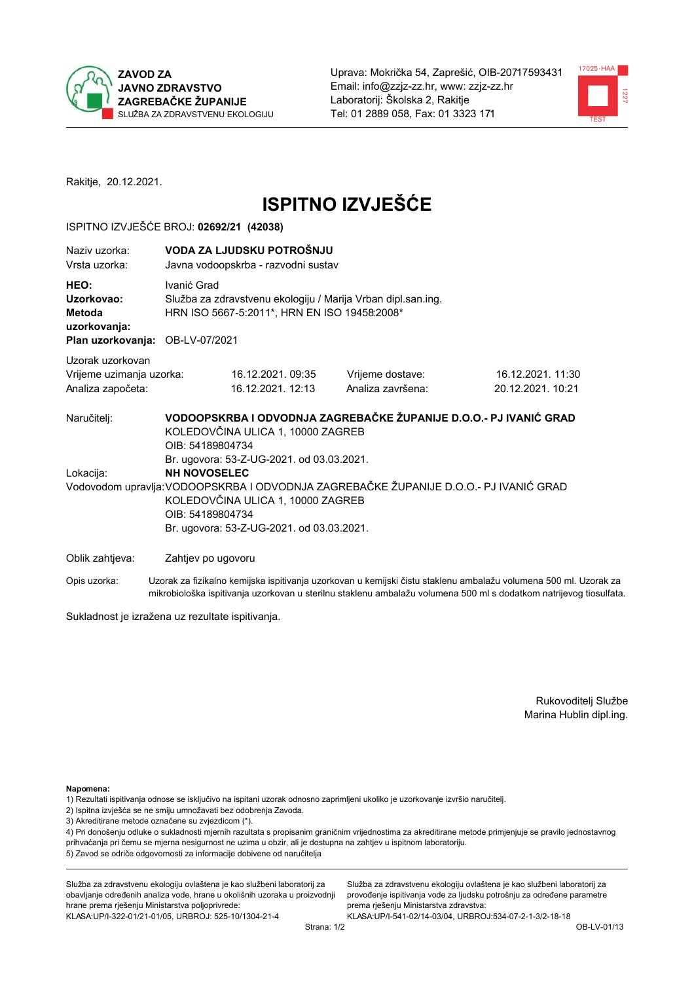



Rakitje, 20.12.2021.

# **ISPITNO IZVJEŠĆE**

#### ISPITNO IZVJEŠĆE BROJ: 02692/21 (42038)

| Naziv uzorka:<br>Vrsta uzorka:                                                                                                                                                                                     |                    | VODA ZA LJUDSKU POTROŠNJU<br>Javna vodoopskrba - razvodni sustav                                             |                                                                   |                                                                                                                  |  |  |  |
|--------------------------------------------------------------------------------------------------------------------------------------------------------------------------------------------------------------------|--------------------|--------------------------------------------------------------------------------------------------------------|-------------------------------------------------------------------|------------------------------------------------------------------------------------------------------------------|--|--|--|
| HEO:<br>Uzorkovao:<br><b>Metoda</b><br>uzorkovanja:                                                                                                                                                                | Ivanić Grad        | Služba za zdravstvenu ekologiju / Marija Vrban dipl.san.ing.<br>HRN ISO 5667-5:2011*, HRN EN ISO 19458:2008* |                                                                   |                                                                                                                  |  |  |  |
|                                                                                                                                                                                                                    |                    | Plan uzorkovanja: OB-LV-07/2021                                                                              |                                                                   |                                                                                                                  |  |  |  |
| Uzorak uzorkovan<br>Vrijeme uzimanja uzorka:<br>Analiza započeta:                                                                                                                                                  |                    | 16.12.2021.09:35<br>16.12.2021. 12:13                                                                        | Vrijeme dostave:<br>Analiza završena:                             | 16.12.2021. 11:30<br>20.12.2021. 10:21                                                                           |  |  |  |
| Naručitelj:                                                                                                                                                                                                        | OIB: 54189804734   | KOLEDOVČINA ULICA 1, 10000 ZAGREB<br>Br. ugovora: 53-Z-UG-2021. od 03.03.2021.                               | VODOOPSKRBA I ODVODNJA ZAGREBAČKE ŽUPANIJE D.O.O.- PJ IVANIĆ GRAD |                                                                                                                  |  |  |  |
| Lokacija:                                                                                                                                                                                                          |                    |                                                                                                              |                                                                   |                                                                                                                  |  |  |  |
| <b>NH NOVOSELEC</b><br>Vodovodom upravlja: VODOOPSKRBA I ODVODNJA ZAGREBAČKE ŽUPANIJE D.O.O.- PJ IVANIĆ GRAD<br>KOLEDOVČINA ULICA 1, 10000 ZAGREB<br>OIB: 54189804734<br>Br. ugovora: 53-Z-UG-2021. od 03.03.2021. |                    |                                                                                                              |                                                                   |                                                                                                                  |  |  |  |
| Oblik zahtjeva:                                                                                                                                                                                                    | Zahtjev po ugovoru |                                                                                                              |                                                                   |                                                                                                                  |  |  |  |
| Opis uzorka:                                                                                                                                                                                                       |                    |                                                                                                              |                                                                   | Uzorak za fizikalno kemijska ispitivanja uzorkovan u kemijski čistu staklenu ambalažu volumena 500 ml. Uzorak za |  |  |  |

mikrobiološka ispitivanja uzorkovan u sterilnu staklenu ambalažu volumena 500 ml s dodatkom natrijevog tiosulfata.

Sukladnost je izražena uz rezultate ispitivanja.

Rukovoditelj Službe Marina Hublin dipl.ing.

Napomena:

- 1) Rezultati ispitivanja odnose se isključivo na ispitani uzorak odnosno zaprimljeni ukoliko je uzorkovanje izvršio naručitelj.
- 2) Ispitna izvješća se ne smiju umnožavati bez odobrenja Zavoda.
- 3) Akreditirane metode označene su zvjezdicom (\*).

4) Pri donošenju odluke o sukladnosti mjernih razultata s propisanim graničnim vrijednostima za akreditirane metode primjenjuje se pravilo jednostavnog prihvaćanja pri čemu se mjerna nesigurnost ne uzima u obzir, ali je dostupna na zahtjev u ispitnom laboratoriju. 5) Zavod se odriče odgovornosti za informacije dobivene od naručitelja

Služba za zdravstvenu ekologiju ovlaštena je kao službeni laboratorij za obavljanje određenih analiza vode, hrane u okolišnih uzoraka u proizvodnji hrane prema rješenju Ministarstva poljoprivrede: KLASA: UP/I-322-01/21-01/05, URBROJ: 525-10/1304-21-4